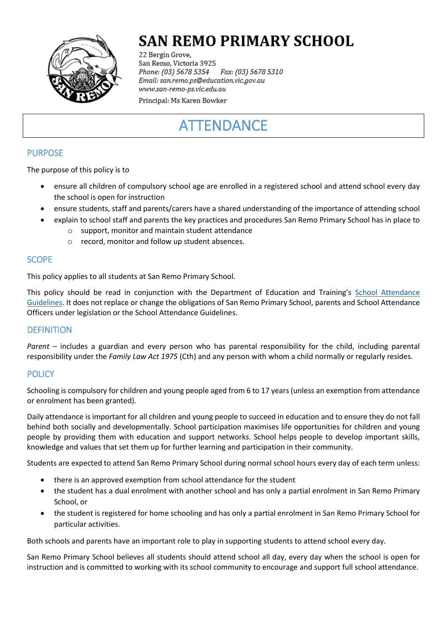

# **SAN REMO PRIMARY SCHOOL**

22 Bergin Grove, San Remo, Victoria 3925 Fax: (03) 5678 5310 Phone: (03) 5678 5354 Email: san.remo.ps@education.vic.gov.au www.san-remo-ps.vic.edu.au

Principal: Ms Karen Bowker

# **ATTENDANCE**

## PURPOSE

The purpose of this policy is to

- ensure all children of compulsory school age are enrolled in a registered school and attend school every day the school is open for instruction
- ensure students, staff and parents/carers have a shared understanding of the importance of attending school
- explain to school staff and parents the key practices and procedures San Remo Primary School has in place to
	- o support, monitor and maintain student attendance
	- o record, monitor and follow up student absences.

### **SCOPE**

This policy applies to all students at San Remo Primary School.

This policy should be read in conjunction with the Department of Education and Training's [School Attendance](http://www.education.vic.gov.au/school/teachers/studentmanagement/Pages/attendance.aspx)  [Guidelines.](http://www.education.vic.gov.au/school/teachers/studentmanagement/Pages/attendance.aspx) It does not replace or change the obligations of San Remo Primary School, parents and School Attendance Officers under legislation or the School Attendance Guidelines.

## **DEFINITION**

*Parent* – includes a guardian and every person who has parental responsibility for the child, including parental responsibility under the *Family Law Act 1975* (Cth) and any person with whom a child normally or regularly resides.

## **POLICY**

Schooling is compulsory for children and young people aged from 6 to 17 years (unless an exemption from attendance or enrolment has been granted).

Daily attendance is important for all children and young people to succeed in education and to ensure they do not fall behind both socially and developmentally. School participation maximises life opportunities for children and young people by providing them with education and support networks. School helps people to develop important skills, knowledge and values that set them up for further learning and participation in their community.

Students are expected to attend San Remo Primary School during normal school hours every day of each term unless:

- there is an approved exemption from school attendance for the student
- the student has a dual enrolment with another school and has only a partial enrolment in San Remo Primary School, or
- the student is registered for home schooling and has only a partial enrolment in San Remo Primary School for particular activities.

Both schools and parents have an important role to play in supporting students to attend school every day.

San Remo Primary School believes all students should attend school all day, every day when the school is open for instruction and is committed to working with its school community to encourage and support full school attendance.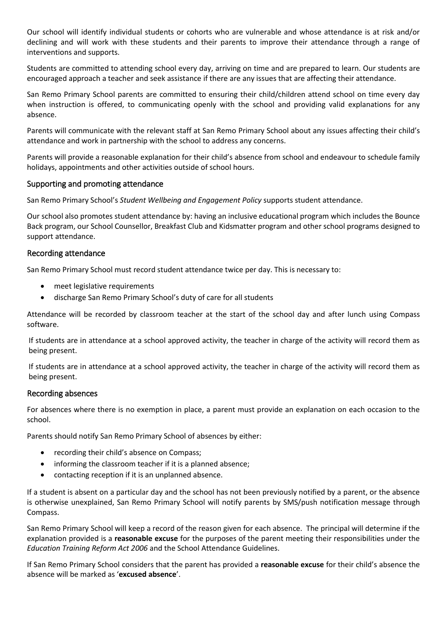Our school will identify individual students or cohorts who are vulnerable and whose attendance is at risk and/or declining and will work with these students and their parents to improve their attendance through a range of interventions and supports.

Students are committed to attending school every day, arriving on time and are prepared to learn. Our students are encouraged approach a teacher and seek assistance if there are any issues that are affecting their attendance.

San Remo Primary School parents are committed to ensuring their child/children attend school on time every day when instruction is offered, to communicating openly with the school and providing valid explanations for any absence.

Parents will communicate with the relevant staff at San Remo Primary School about any issues affecting their child's attendance and work in partnership with the school to address any concerns.

Parents will provide a reasonable explanation for their child's absence from school and endeavour to schedule family holidays, appointments and other activities outside of school hours.

#### Supporting and promoting attendance

San Remo Primary School's *Student Wellbeing and Engagement Policy* supports student attendance.

Our school also promotes student attendance by: having an inclusive educational program which includes the Bounce Back program, our School Counsellor, Breakfast Club and Kidsmatter program and other school programs designed to support attendance.

#### Recording attendance

San Remo Primary School must record student attendance twice per day. This is necessary to:

- meet legislative requirements
- discharge San Remo Primary School's duty of care for all students

Attendance will be recorded by classroom teacher at the start of the school day and after lunch using Compass software.

If students are in attendance at a school approved activity, the teacher in charge of the activity will record them as being present.

If students are in attendance at a school approved activity, the teacher in charge of the activity will record them as being present.

#### Recording absences

For absences where there is no exemption in place, a parent must provide an explanation on each occasion to the school.

Parents should notify San Remo Primary School of absences by either:

- recording their child's absence on Compass;
- informing the classroom teacher if it is a planned absence;
- contacting reception if it is an unplanned absence.

If a student is absent on a particular day and the school has not been previously notified by a parent, or the absence is otherwise unexplained, San Remo Primary School will notify parents by SMS/push notification message through Compass.

San Remo Primary School will keep a record of the reason given for each absence. The principal will determine if the explanation provided is a **reasonable excuse** for the purposes of the parent meeting their responsibilities under the *Education Training Reform Act 2006* and the School Attendance Guidelines.

If San Remo Primary School considers that the parent has provided a **reasonable excuse** for their child's absence the absence will be marked as '**excused absence**'.